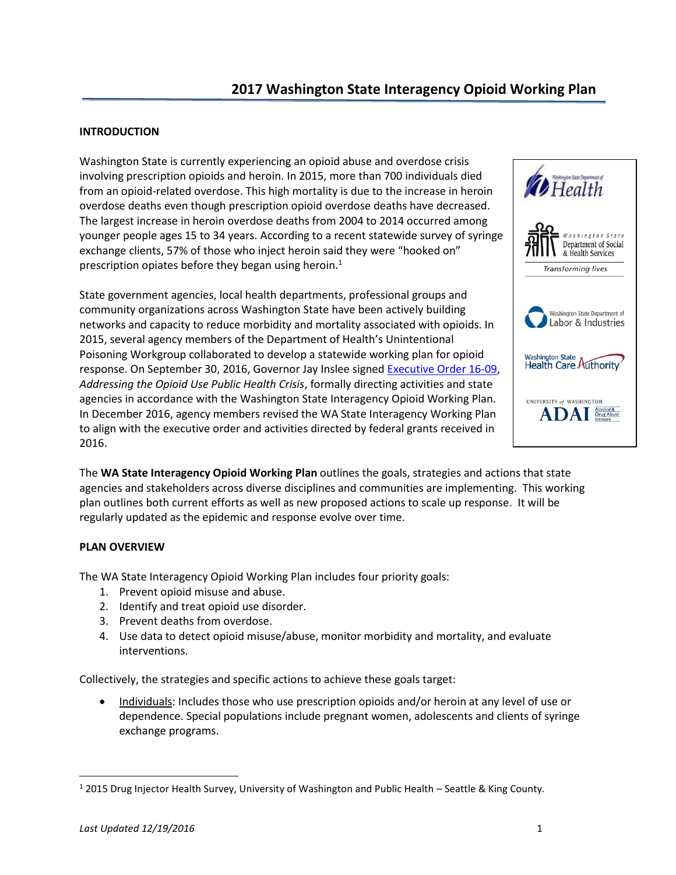# **2017 Washington State Interagency Opioid Working Plan**

#### **INTRODUCTION**

Washington State is currently experiencing an opioid abuse and overdose crisis involving prescription opioids and heroin. In 2015, more than 700 individuals died from an opioid-related overdose. This high mortality is due to the increase in heroin overdose deaths even though prescription opioid overdose deaths have decreased. The largest increase in heroin overdose deaths from 2004 to 2014 occurred among younger people ages 15 to 34 years. According to a recent statewide survey of syringe exchange clients, 57% of those who inject heroin said they were "hooked on" prescription opiates before they began using heroin.<sup>1</sup>

State government agencies, local health departments, professional groups and community organizations across Washington State have been actively building networks and capacity to reduce morbidity and mortality associated with opioids. In 2015, several agency members of the Department of Health's Unintentional Poisoning Workgroup collaborated to develop a statewide working plan for opioid response. On September 30, 2016, Governor Jay Inslee signed [Executive Order 16-09,](http://www.governor.wa.gov/sites/default/files/exe_order/eo_16-09.pdf) *Addressing the Opioid Use Public Health Crisis*, formally directing activities and state agencies in accordance with the Washington State Interagency Opioid Working Plan. In December 2016, agency members revised the WA State Interagency Working Plan to align with the executive order and activities directed by federal grants received in 2016.



The **WA State Interagency Opioid Working Plan** outlines the goals, strategies and actions that state agencies and stakeholders across diverse disciplines and communities are implementing. This working plan outlines both current efforts as well as new proposed actions to scale up response. It will be regularly updated as the epidemic and response evolve over time.

### **PLAN OVERVIEW**

The WA State Interagency Opioid Working Plan includes four priority goals:

- 1. Prevent opioid misuse and abuse.
- 2. Identify and treat opioid use disorder.
- 3. Prevent deaths from overdose.
- 4. Use data to detect opioid misuse/abuse, monitor morbidity and mortality, and evaluate interventions.

Collectively, the strategies and specific actions to achieve these goals target:

 Individuals: Includes those who use prescription opioids and/or heroin at any level of use or dependence. Special populations include pregnant women, adolescents and clients of syringe exchange programs.

 $\overline{\phantom{a}}$ 

<sup>1</sup> 2015 Drug Injector Health Survey, University of Washington and Public Health – Seattle & King County.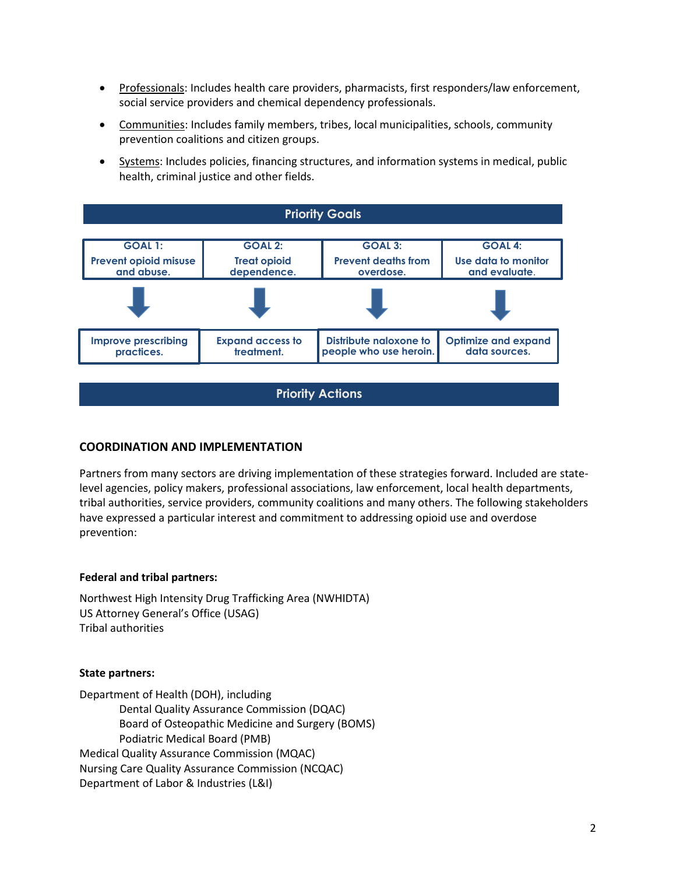- Professionals: Includes health care providers, pharmacists, first responders/law enforcement, social service providers and chemical dependency professionals.
- Communities: Includes family members, tribes, local municipalities, schools, community prevention coalitions and citizen groups.
- Systems: Includes policies, financing structures, and information systems in medical, public health, criminal justice and other fields.

| <b>Priority Goals</b>                      |                                       |                                                  |                                             |  |
|--------------------------------------------|---------------------------------------|--------------------------------------------------|---------------------------------------------|--|
|                                            |                                       |                                                  |                                             |  |
| <b>GOAL 1:</b>                             | <b>GOAL 2:</b>                        | <b>GOAL 3:</b>                                   | <b>GOAL 4:</b>                              |  |
| <b>Prevent opioid misuse</b><br>and abuse. | <b>Treat opioid</b><br>dependence.    | <b>Prevent deaths from</b><br>overdose.          | Use data to monitor<br>and evaluate.        |  |
|                                            |                                       |                                                  |                                             |  |
| <b>Improve prescribing</b><br>practices.   | <b>Expand access to</b><br>treatment. | Distribute naloxone to<br>people who use heroin. | <b>Optimize and expand</b><br>data sources. |  |

**Priority Actions** 

# **COORDINATION AND IMPLEMENTATION**

Partners from many sectors are driving implementation of these strategies forward. Included are statelevel agencies, policy makers, professional associations, law enforcement, local health departments, tribal authorities, service providers, community coalitions and many others. The following stakeholders have expressed a particular interest and commitment to addressing opioid use and overdose prevention:

### **Federal and tribal partners:**

Northwest High Intensity Drug Trafficking Area (NWHIDTA) US Attorney General's Office (USAG) Tribal authorities

#### **State partners:**

Department of Health (DOH), including Dental Quality Assurance Commission (DQAC) Board of Osteopathic Medicine and Surgery (BOMS) Podiatric Medical Board (PMB) Medical Quality Assurance Commission (MQAC) Nursing Care Quality Assurance Commission (NCQAC) Department of Labor & Industries (L&I)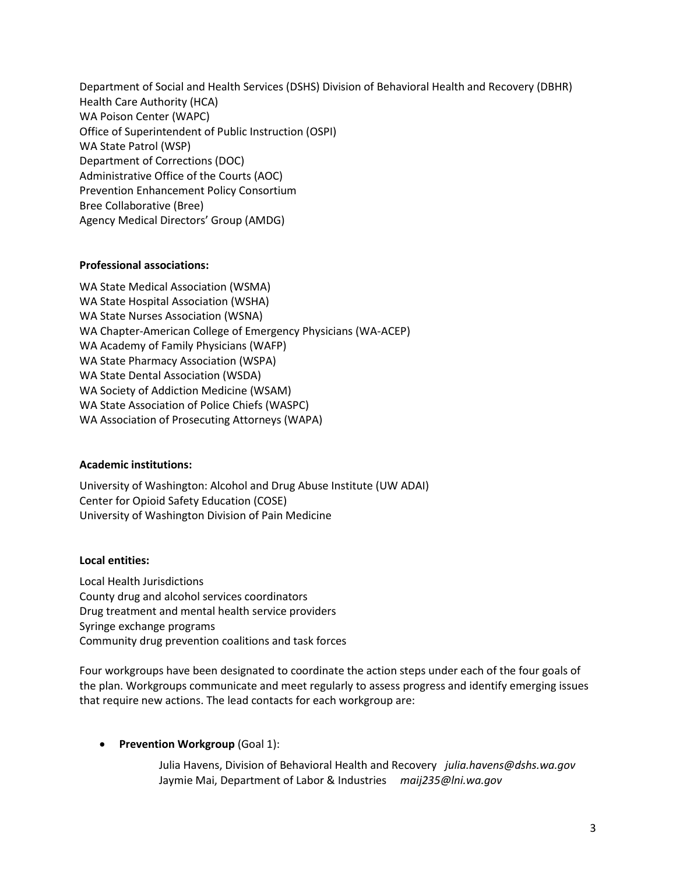Department of Social and Health Services (DSHS) Division of Behavioral Health and Recovery (DBHR) Health Care Authority (HCA) WA Poison Center (WAPC) Office of Superintendent of Public Instruction (OSPI) WA State Patrol (WSP) Department of Corrections (DOC) Administrative Office of the Courts (AOC) Prevention Enhancement Policy Consortium Bree Collaborative (Bree) Agency Medical Directors' Group (AMDG)

## **Professional associations:**

WA State Medical Association (WSMA) WA State Hospital Association (WSHA) WA State Nurses Association (WSNA) WA Chapter-American College of Emergency Physicians (WA-ACEP) WA Academy of Family Physicians (WAFP) WA State Pharmacy Association (WSPA) WA State Dental Association (WSDA) WA Society of Addiction Medicine (WSAM) WA State Association of Police Chiefs (WASPC) WA Association of Prosecuting Attorneys (WAPA)

### **Academic institutions:**

University of Washington: Alcohol and Drug Abuse Institute (UW ADAI) Center for Opioid Safety Education (COSE) University of Washington Division of Pain Medicine

# **Local entities:**

Local Health Jurisdictions County drug and alcohol services coordinators Drug treatment and mental health service providers Syringe exchange programs Community drug prevention coalitions and task forces

Four workgroups have been designated to coordinate the action steps under each of the four goals of the plan. Workgroups communicate and meet regularly to assess progress and identify emerging issues that require new actions. The lead contacts for each workgroup are:

**•** Prevention Workgroup (Goal 1):

Julia Havens, Division of Behavioral Health and Recovery *julia.havens@dshs.wa.gov* Jaymie Mai, Department of Labor & Industries *maij235@lni.wa.gov*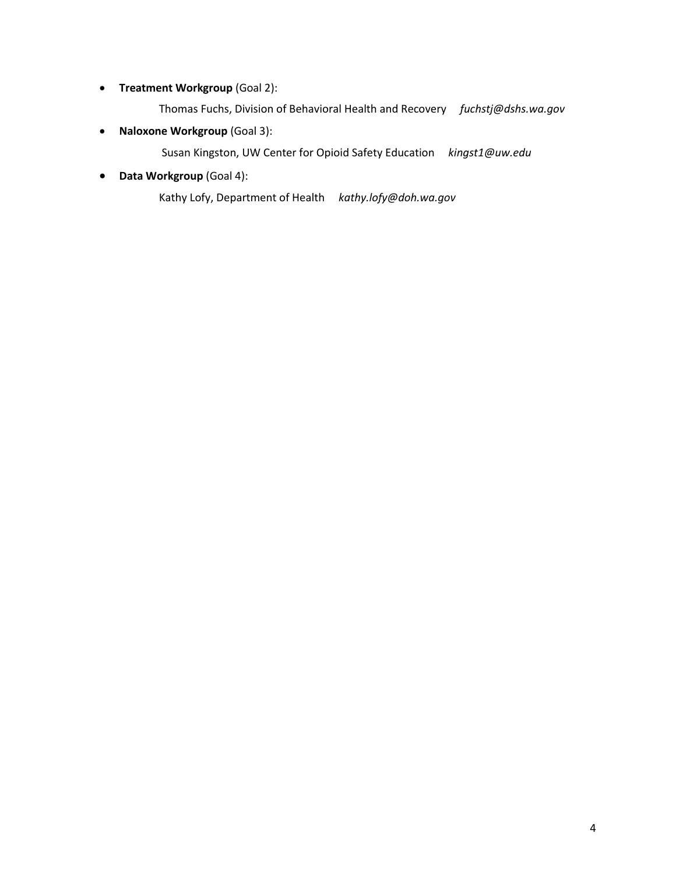- **Treatment Workgroup** (Goal 2):
	- Thomas Fuchs, Division of Behavioral Health and Recovery *fuchstj@dshs.wa.gov*
- **Naloxone Workgroup** (Goal 3):
	- Susan Kingston, UW Center for Opioid Safety Education *kingst1@uw.edu*
- **Data Workgroup** (Goal 4):
	- Kathy Lofy, Department of Health *kathy.lofy@doh.wa.gov*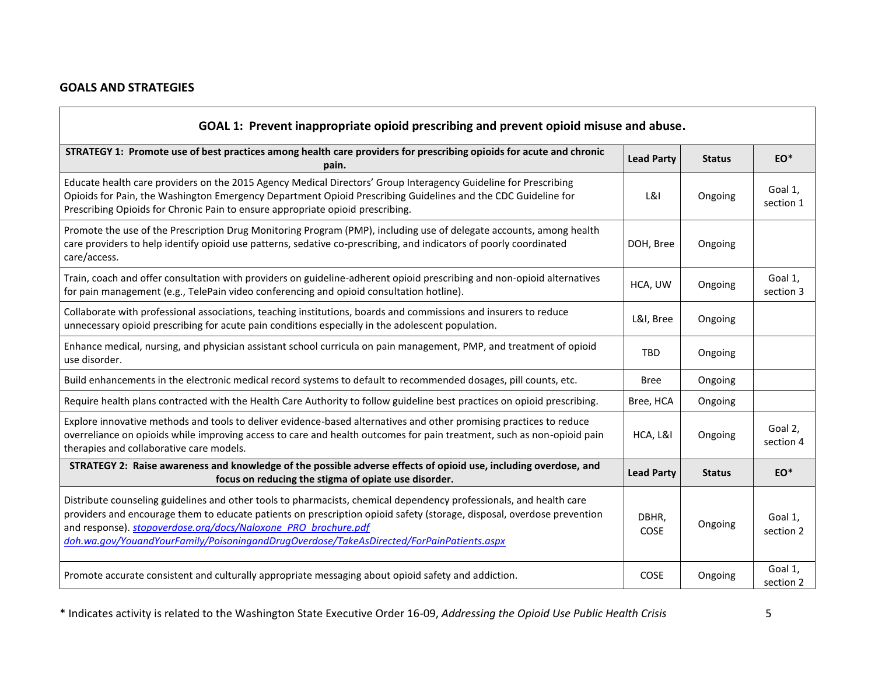# **GOALS AND STRATEGIES**

| GOAL 1: Prevent inappropriate opioid prescribing and prevent opioid misuse and abuse.                                                                                                                                                                                                                                                                                                                       |                      |               |                      |
|-------------------------------------------------------------------------------------------------------------------------------------------------------------------------------------------------------------------------------------------------------------------------------------------------------------------------------------------------------------------------------------------------------------|----------------------|---------------|----------------------|
| STRATEGY 1: Promote use of best practices among health care providers for prescribing opioids for acute and chronic<br>pain.                                                                                                                                                                                                                                                                                | <b>Lead Party</b>    | <b>Status</b> | EO*                  |
| Educate health care providers on the 2015 Agency Medical Directors' Group Interagency Guideline for Prescribing<br>Opioids for Pain, the Washington Emergency Department Opioid Prescribing Guidelines and the CDC Guideline for<br>Prescribing Opioids for Chronic Pain to ensure appropriate opioid prescribing.                                                                                          | L&I                  | Ongoing       | Goal 1,<br>section 1 |
| Promote the use of the Prescription Drug Monitoring Program (PMP), including use of delegate accounts, among health<br>care providers to help identify opioid use patterns, sedative co-prescribing, and indicators of poorly coordinated<br>care/access.                                                                                                                                                   | DOH, Bree            | Ongoing       |                      |
| Train, coach and offer consultation with providers on guideline-adherent opioid prescribing and non-opioid alternatives<br>for pain management (e.g., TelePain video conferencing and opioid consultation hotline).                                                                                                                                                                                         | HCA, UW              | Ongoing       | Goal 1,<br>section 3 |
| Collaborate with professional associations, teaching institutions, boards and commissions and insurers to reduce<br>unnecessary opioid prescribing for acute pain conditions especially in the adolescent population.                                                                                                                                                                                       | L&I, Bree            | Ongoing       |                      |
| Enhance medical, nursing, and physician assistant school curricula on pain management, PMP, and treatment of opioid<br>use disorder.                                                                                                                                                                                                                                                                        | <b>TBD</b>           | Ongoing       |                      |
| Build enhancements in the electronic medical record systems to default to recommended dosages, pill counts, etc.                                                                                                                                                                                                                                                                                            | <b>Bree</b>          | Ongoing       |                      |
| Require health plans contracted with the Health Care Authority to follow guideline best practices on opioid prescribing.                                                                                                                                                                                                                                                                                    | Bree, HCA            | Ongoing       |                      |
| Explore innovative methods and tools to deliver evidence-based alternatives and other promising practices to reduce<br>overreliance on opioids while improving access to care and health outcomes for pain treatment, such as non-opioid pain<br>therapies and collaborative care models.                                                                                                                   | HCA, L&I             | Ongoing       | Goal 2,<br>section 4 |
| STRATEGY 2: Raise awareness and knowledge of the possible adverse effects of opioid use, including overdose, and<br>focus on reducing the stigma of opiate use disorder.                                                                                                                                                                                                                                    | <b>Lead Party</b>    | <b>Status</b> | $EO^*$               |
| Distribute counseling guidelines and other tools to pharmacists, chemical dependency professionals, and health care<br>providers and encourage them to educate patients on prescription opioid safety (storage, disposal, overdose prevention<br>and response). stopoverdose.org/docs/Naloxone PRO brochure.pdf<br>doh.wa.gov/YouandYourFamily/PoisoningandDrugOverdose/TakeAsDirected/ForPainPatients.aspx | DBHR,<br><b>COSE</b> | Ongoing       | Goal 1,<br>section 2 |
| Promote accurate consistent and culturally appropriate messaging about opioid safety and addiction.                                                                                                                                                                                                                                                                                                         | COSE                 | Ongoing       | Goal 1,<br>section 2 |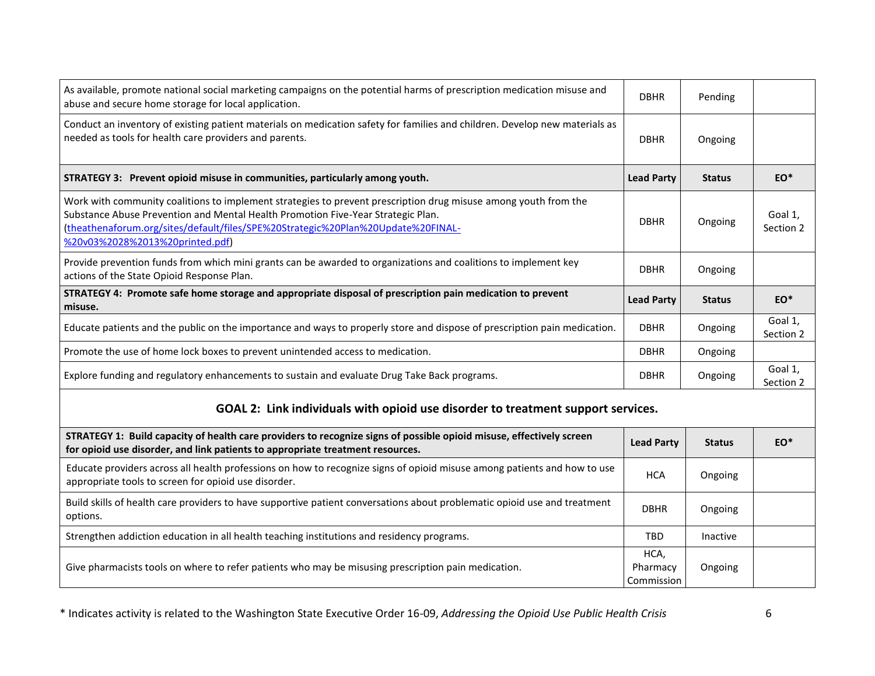| As available, promote national social marketing campaigns on the potential harms of prescription medication misuse and<br>abuse and secure home storage for local application.                                                                                                                                             | <b>DBHR</b>                    | Pending       |                      |
|----------------------------------------------------------------------------------------------------------------------------------------------------------------------------------------------------------------------------------------------------------------------------------------------------------------------------|--------------------------------|---------------|----------------------|
| Conduct an inventory of existing patient materials on medication safety for families and children. Develop new materials as<br>needed as tools for health care providers and parents.                                                                                                                                      | <b>DBHR</b>                    | Ongoing       |                      |
| STRATEGY 3: Prevent opioid misuse in communities, particularly among youth.                                                                                                                                                                                                                                                | <b>Lead Party</b>              | <b>Status</b> | EO*                  |
| Work with community coalitions to implement strategies to prevent prescription drug misuse among youth from the<br>Substance Abuse Prevention and Mental Health Promotion Five-Year Strategic Plan.<br>(theathenaforum.org/sites/default/files/SPE%20Strategic%20Plan%20Update%20FINAL-<br>%20v03%2028%2013%20printed.pdf) | <b>DBHR</b>                    | Ongoing       | Goal 1,<br>Section 2 |
| Provide prevention funds from which mini grants can be awarded to organizations and coalitions to implement key<br>actions of the State Opioid Response Plan.                                                                                                                                                              | <b>DBHR</b>                    | Ongoing       |                      |
| STRATEGY 4: Promote safe home storage and appropriate disposal of prescription pain medication to prevent<br>misuse.                                                                                                                                                                                                       | <b>Lead Party</b>              | <b>Status</b> | EO*                  |
| Educate patients and the public on the importance and ways to properly store and dispose of prescription pain medication.                                                                                                                                                                                                  | <b>DBHR</b>                    | Ongoing       | Goal 1,<br>Section 2 |
| Promote the use of home lock boxes to prevent unintended access to medication.                                                                                                                                                                                                                                             | <b>DBHR</b>                    | Ongoing       |                      |
| Explore funding and regulatory enhancements to sustain and evaluate Drug Take Back programs.                                                                                                                                                                                                                               | <b>DBHR</b>                    | Ongoing       | Goal 1,<br>Section 2 |
| GOAL 2: Link individuals with opioid use disorder to treatment support services.                                                                                                                                                                                                                                           |                                |               |                      |
| STRATEGY 1: Build capacity of health care providers to recognize signs of possible opioid misuse, effectively screen<br>for opioid use disorder, and link patients to appropriate treatment resources.                                                                                                                     | <b>Lead Party</b>              | <b>Status</b> | $EO^*$               |
| Educate providers across all health professions on how to recognize signs of opioid misuse among patients and how to use<br>appropriate tools to screen for opioid use disorder.                                                                                                                                           | <b>HCA</b>                     | Ongoing       |                      |
| Build skills of health care providers to have supportive patient conversations about problematic opioid use and treatment<br>options.                                                                                                                                                                                      | <b>DBHR</b>                    | Ongoing       |                      |
| Strengthen addiction education in all health teaching institutions and residency programs.                                                                                                                                                                                                                                 | <b>TBD</b>                     | Inactive      |                      |
| Give pharmacists tools on where to refer patients who may be misusing prescription pain medication.                                                                                                                                                                                                                        | HCA,<br>Pharmacy<br>Commission | Ongoing       |                      |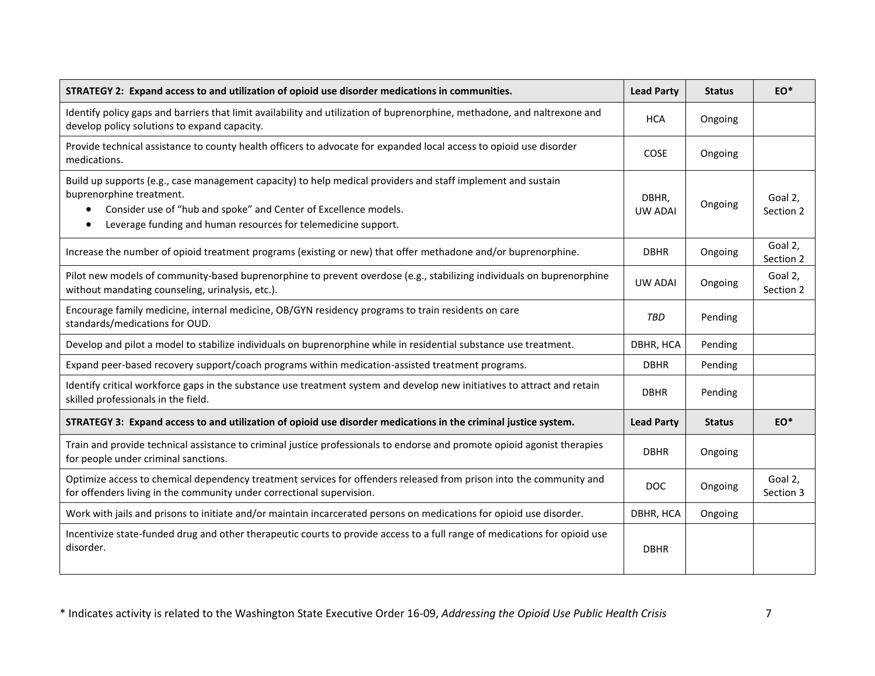| STRATEGY 2: Expand access to and utilization of opioid use disorder medications in communities.                                                                                                                                                                                             | <b>Lead Party</b>       | <b>Status</b> | EO*                  |
|---------------------------------------------------------------------------------------------------------------------------------------------------------------------------------------------------------------------------------------------------------------------------------------------|-------------------------|---------------|----------------------|
| Identify policy gaps and barriers that limit availability and utilization of buprenorphine, methadone, and naltrexone and<br>develop policy solutions to expand capacity.                                                                                                                   | <b>HCA</b>              | Ongoing       |                      |
| Provide technical assistance to county health officers to advocate for expanded local access to opioid use disorder<br>medications.                                                                                                                                                         | <b>COSE</b>             | Ongoing       |                      |
| Build up supports (e.g., case management capacity) to help medical providers and staff implement and sustain<br>buprenorphine treatment.<br>Consider use of "hub and spoke" and Center of Excellence models.<br>$\bullet$<br>Leverage funding and human resources for telemedicine support. | DBHR,<br><b>UW ADAI</b> | Ongoing       | Goal 2,<br>Section 2 |
| Increase the number of opioid treatment programs (existing or new) that offer methadone and/or buprenorphine.                                                                                                                                                                               | <b>DBHR</b>             | Ongoing       | Goal 2,<br>Section 2 |
| Pilot new models of community-based buprenorphine to prevent overdose (e.g., stabilizing individuals on buprenorphine<br>without mandating counseling, urinalysis, etc.).                                                                                                                   | <b>UW ADAI</b>          | Ongoing       | Goal 2,<br>Section 2 |
| Encourage family medicine, internal medicine, OB/GYN residency programs to train residents on care<br>standards/medications for OUD.                                                                                                                                                        | TBD                     | Pending       |                      |
| Develop and pilot a model to stabilize individuals on buprenorphine while in residential substance use treatment.                                                                                                                                                                           | DBHR, HCA               | Pending       |                      |
| Expand peer-based recovery support/coach programs within medication-assisted treatment programs.                                                                                                                                                                                            | <b>DBHR</b>             | Pending       |                      |
| Identify critical workforce gaps in the substance use treatment system and develop new initiatives to attract and retain<br>skilled professionals in the field.                                                                                                                             | <b>DBHR</b>             | Pending       |                      |
| STRATEGY 3: Expand access to and utilization of opioid use disorder medications in the criminal justice system.                                                                                                                                                                             | <b>Lead Party</b>       | <b>Status</b> | $EO^*$               |
| Train and provide technical assistance to criminal justice professionals to endorse and promote opioid agonist therapies<br>for people under criminal sanctions.                                                                                                                            | <b>DBHR</b>             | Ongoing       |                      |
| Optimize access to chemical dependency treatment services for offenders released from prison into the community and<br>for offenders living in the community under correctional supervision.                                                                                                | <b>DOC</b>              | Ongoing       | Goal 2,<br>Section 3 |
| Work with jails and prisons to initiate and/or maintain incarcerated persons on medications for opioid use disorder.                                                                                                                                                                        | DBHR, HCA               | Ongoing       |                      |
| Incentivize state-funded drug and other therapeutic courts to provide access to a full range of medications for opioid use<br>disorder.                                                                                                                                                     | <b>DBHR</b>             |               |                      |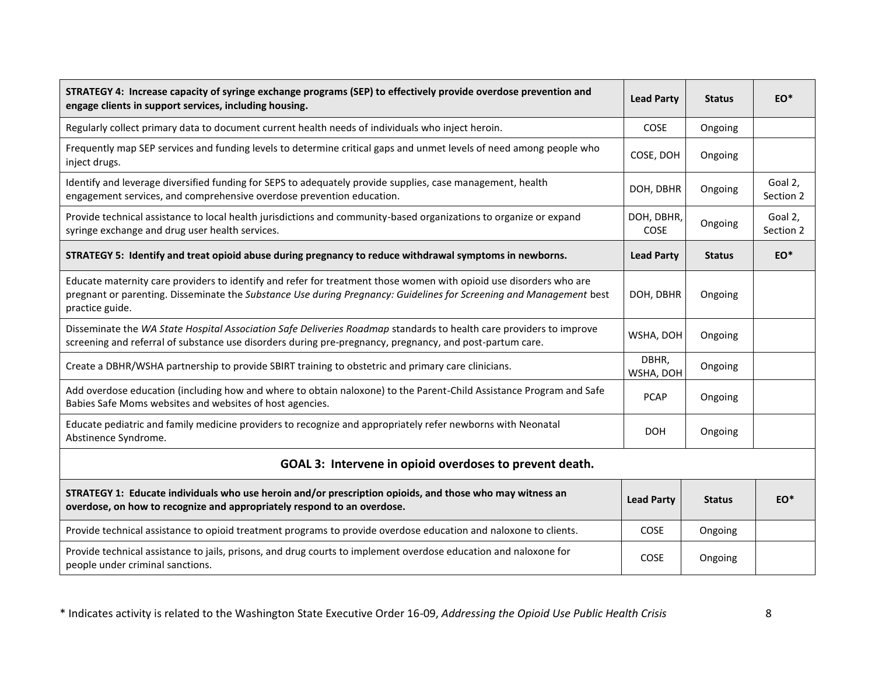| STRATEGY 4: Increase capacity of syringe exchange programs (SEP) to effectively provide overdose prevention and<br>engage clients in support services, including housing.                                                                                    | <b>Lead Party</b>  | <b>Status</b> | $EO^*$               |
|--------------------------------------------------------------------------------------------------------------------------------------------------------------------------------------------------------------------------------------------------------------|--------------------|---------------|----------------------|
| Regularly collect primary data to document current health needs of individuals who inject heroin.                                                                                                                                                            | COSE               | Ongoing       |                      |
| Frequently map SEP services and funding levels to determine critical gaps and unmet levels of need among people who<br>inject drugs.                                                                                                                         | COSE, DOH          | Ongoing       |                      |
| Identify and leverage diversified funding for SEPS to adequately provide supplies, case management, health<br>engagement services, and comprehensive overdose prevention education.                                                                          | DOH, DBHR          | Ongoing       | Goal 2,<br>Section 2 |
| Provide technical assistance to local health jurisdictions and community-based organizations to organize or expand<br>syringe exchange and drug user health services.                                                                                        | DOH, DBHR,<br>COSE | Ongoing       | Goal 2,<br>Section 2 |
| STRATEGY 5: Identify and treat opioid abuse during pregnancy to reduce withdrawal symptoms in newborns.                                                                                                                                                      | <b>Lead Party</b>  | <b>Status</b> | $EO^*$               |
| Educate maternity care providers to identify and refer for treatment those women with opioid use disorders who are<br>pregnant or parenting. Disseminate the Substance Use during Pregnancy: Guidelines for Screening and Management best<br>practice guide. | DOH, DBHR          | Ongoing       |                      |
| Disseminate the WA State Hospital Association Safe Deliveries Roadmap standards to health care providers to improve<br>screening and referral of substance use disorders during pre-pregnancy, pregnancy, and post-partum care.                              | WSHA, DOH          | Ongoing       |                      |
| Create a DBHR/WSHA partnership to provide SBIRT training to obstetric and primary care clinicians.                                                                                                                                                           | DBHR,<br>WSHA, DOH | Ongoing       |                      |
| Add overdose education (including how and where to obtain naloxone) to the Parent-Child Assistance Program and Safe<br>Babies Safe Moms websites and websites of host agencies.                                                                              | <b>PCAP</b>        | Ongoing       |                      |
| Educate pediatric and family medicine providers to recognize and appropriately refer newborns with Neonatal<br>Abstinence Syndrome.                                                                                                                          | <b>DOH</b>         | Ongoing       |                      |
| GOAL 3: Intervene in opioid overdoses to prevent death.                                                                                                                                                                                                      |                    |               |                      |
| STRATEGY 1: Educate individuals who use heroin and/or prescription opioids, and those who may witness an<br>overdose, on how to recognize and appropriately respond to an overdose.                                                                          | <b>Lead Party</b>  | <b>Status</b> | $EO^*$               |
| Provide technical assistance to opioid treatment programs to provide overdose education and naloxone to clients.                                                                                                                                             | COSE               | Ongoing       |                      |
| Provide technical assistance to jails, prisons, and drug courts to implement overdose education and naloxone for<br>people under criminal sanctions.                                                                                                         | COSE               | Ongoing       |                      |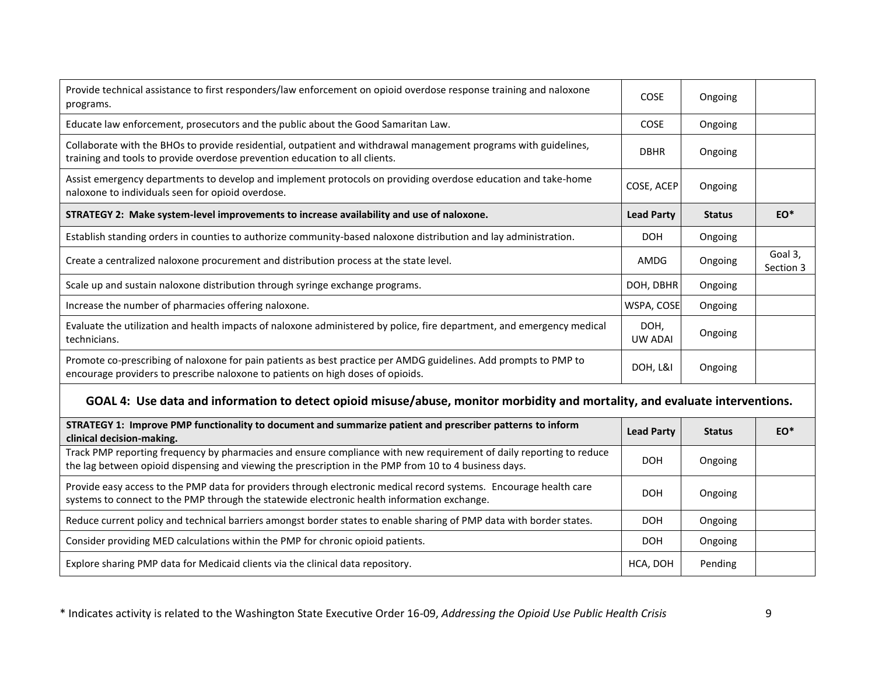| Provide technical assistance to first responders/law enforcement on opioid overdose response training and naloxone<br>programs.                                                                                              | COSE                   | Ongoing       |                      |
|------------------------------------------------------------------------------------------------------------------------------------------------------------------------------------------------------------------------------|------------------------|---------------|----------------------|
| Educate law enforcement, prosecutors and the public about the Good Samaritan Law.                                                                                                                                            | COSE                   | Ongoing       |                      |
| Collaborate with the BHOs to provide residential, outpatient and withdrawal management programs with guidelines,<br>training and tools to provide overdose prevention education to all clients.                              | <b>DBHR</b>            | Ongoing       |                      |
| Assist emergency departments to develop and implement protocols on providing overdose education and take-home<br>naloxone to individuals seen for opioid overdose.                                                           | COSE, ACEP             | Ongoing       |                      |
| STRATEGY 2: Make system-level improvements to increase availability and use of naloxone.                                                                                                                                     | <b>Lead Party</b>      | <b>Status</b> | $EO^*$               |
| Establish standing orders in counties to authorize community-based naloxone distribution and lay administration.                                                                                                             | <b>DOH</b>             | Ongoing       |                      |
| Create a centralized naloxone procurement and distribution process at the state level.                                                                                                                                       | AMDG                   | Ongoing       | Goal 3,<br>Section 3 |
| Scale up and sustain naloxone distribution through syringe exchange programs.                                                                                                                                                | DOH, DBHR              | Ongoing       |                      |
| Increase the number of pharmacies offering naloxone.                                                                                                                                                                         | WSPA, COSE             | Ongoing       |                      |
| Evaluate the utilization and health impacts of naloxone administered by police, fire department, and emergency medical<br>technicians.                                                                                       | DOH,<br><b>UW ADAI</b> | Ongoing       |                      |
| Promote co-prescribing of naloxone for pain patients as best practice per AMDG guidelines. Add prompts to PMP to<br>encourage providers to prescribe naloxone to patients on high doses of opioids.                          | DOH, L&I               | Ongoing       |                      |
| GOAL 4: Use data and information to detect opioid misuse/abuse, monitor morbidity and mortality, and evaluate interventions.                                                                                                 |                        |               |                      |
| STRATEGY 1: Improve PMP functionality to document and summarize patient and prescriber patterns to inform<br>clinical decision-making.                                                                                       | <b>Lead Party</b>      | <b>Status</b> | EO*                  |
| Track PMP reporting frequency by pharmacies and ensure compliance with new requirement of daily reporting to reduce<br>the lag between opioid dispensing and viewing the prescription in the PMP from 10 to 4 business days. | <b>DOH</b>             | Ongoing       |                      |
| Provide easy access to the PMP data for providers through electronic medical record systems. Encourage health care<br>systems to connect to the PMP through the statewide electronic health information exchange.            | <b>DOH</b>             | Ongoing       |                      |
| Reduce current policy and technical barriers amongst border states to enable sharing of PMP data with border states.                                                                                                         | <b>DOH</b>             | Ongoing       |                      |
| Consider providing MED calculations within the PMP for chronic opioid patients.                                                                                                                                              | <b>DOH</b>             | Ongoing       |                      |
| Explore sharing PMP data for Medicaid clients via the clinical data repository.                                                                                                                                              | HCA, DOH               | Pending       |                      |